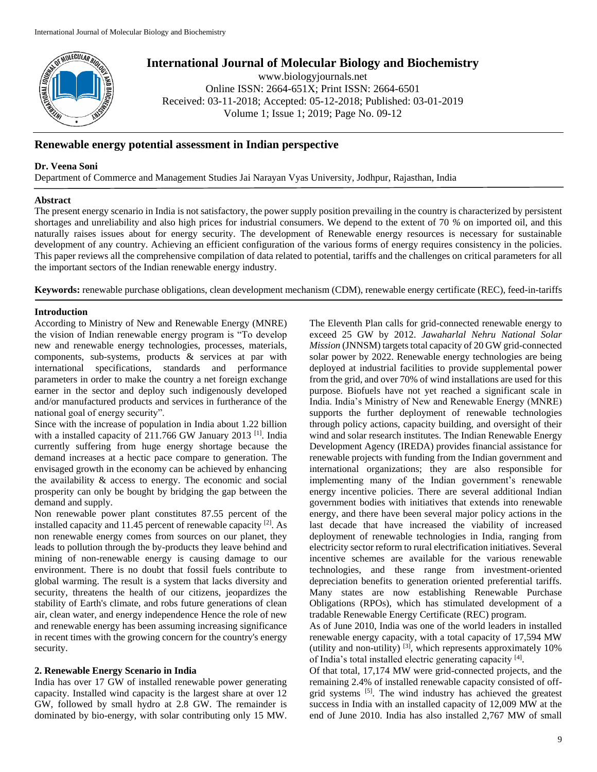

# **International Journal of Molecular Biology and Biochemistry**

www.biologyjournals.net Online ISSN: 2664-651X; Print ISSN: 2664-6501 Received: 03-11-2018; Accepted: 05-12-2018; Published: 03-01-2019 Volume 1; Issue 1; 2019; Page No. 09-12

## **Renewable energy potential assessment in Indian perspective**

### **Dr. Veena Soni**

Department of Commerce and Management Studies Jai Narayan Vyas University, Jodhpur, Rajasthan, India

#### **Abstract**

The present energy scenario in India is not satisfactory, the power supply position prevailing in the country is characterized by persistent shortages and unreliability and also high prices for industrial consumers. We depend to the extent of 70 *%* on imported oil, and this naturally raises issues about for energy security. The development of Renewable energy resources is necessary for sustainable development of any country. Achieving an efficient configuration of the various forms of energy requires consistency in the policies. This paper reviews all the comprehensive compilation of data related to potential, tariffs and the challenges on critical parameters for all the important sectors of the Indian renewable energy industry.

**Keywords:** renewable purchase obligations, clean development mechanism (CDM), renewable energy certificate (REC), feed-in-tariffs

#### **Introduction**

According to Ministry of New and Renewable Energy (MNRE) the vision of Indian renewable energy program is "To develop new and renewable energy technologies, processes, materials, components, sub-systems, products & services at par with international specifications, standards and performance parameters in order to make the country a net foreign exchange earner in the sector and deploy such indigenously developed and/or manufactured products and services in furtherance of the national goal of energy security".

Since with the increase of population in India about 1.22 billion with a installed capacity of 211.766 GW January 2013<sup>[1]</sup>. India currently suffering from huge energy shortage because the demand increases at a hectic pace compare to generation. The envisaged growth in the economy can be achieved by enhancing the availability & access to energy. The economic and social prosperity can only be bought by bridging the gap between the demand and supply.

Non renewable power plant constitutes 87.55 percent of the installed capacity and 11.45 percent of renewable capacity [2]. As non renewable energy comes from sources on our planet, they leads to pollution through the by-products they leave behind and mining of non-renewable energy is causing damage to our environment. There is no doubt that fossil fuels contribute to global warming. The result is a system that lacks diversity and security, threatens the health of our citizens, jeopardizes the stability of Earth's climate, and robs future generations of clean air, clean water, and energy independence Hence the role of new and renewable energy has been assuming increasing significance in recent times with the growing concern for the country's energy security.

## **2. Renewable Energy Scenario in India**

India has over 17 GW of installed renewable power generating capacity. Installed wind capacity is the largest share at over 12 GW, followed by small hydro at 2.8 GW. The remainder is dominated by bio-energy, with solar contributing only 15 MW.

The Eleventh Plan calls for grid-connected renewable energy to exceed 25 GW by 2012. *Jawaharlal Nehru National Solar Mission* (JNNSM) targets total capacity of 20 GW grid-connected solar power by 2022. Renewable energy technologies are being deployed at industrial facilities to provide supplemental power from the grid, and over 70% of wind installations are used for this purpose. Biofuels have not yet reached a significant scale in India. India's Ministry of New and Renewable Energy (MNRE) supports the further deployment of renewable technologies through policy actions, capacity building, and oversight of their wind and solar research institutes. The Indian Renewable Energy Development Agency (IREDA) provides financial assistance for renewable projects with funding from the Indian government and international organizations; they are also responsible for implementing many of the Indian government's renewable energy incentive policies. There are several additional Indian government bodies with initiatives that extends into renewable energy, and there have been several major policy actions in the last decade that have increased the viability of increased deployment of renewable technologies in India, ranging from electricity sector reform to rural electrification initiatives. Several incentive schemes are available for the various renewable technologies, and these range from investment-oriented depreciation benefits to generation oriented preferential tariffs. Many states are now establishing Renewable Purchase Obligations (RPOs), which has stimulated development of a tradable Renewable Energy Certificate (REC) program.

As of June 2010, India was one of the world leaders in installed renewable energy capacity, with a total capacity of 17,594 MW (utility and non-utility)  $^{[3]}$ , which represents approximately 10% of India's total installed electric generating capacity [4].

Of that total, 17,174 MW were grid-connected projects, and the remaining 2.4% of installed renewable capacity consisted of offgrid systems <sup>[5]</sup>. The wind industry has achieved the greatest success in India with an installed capacity of 12,009 MW at the end of June 2010. India has also installed 2,767 MW of small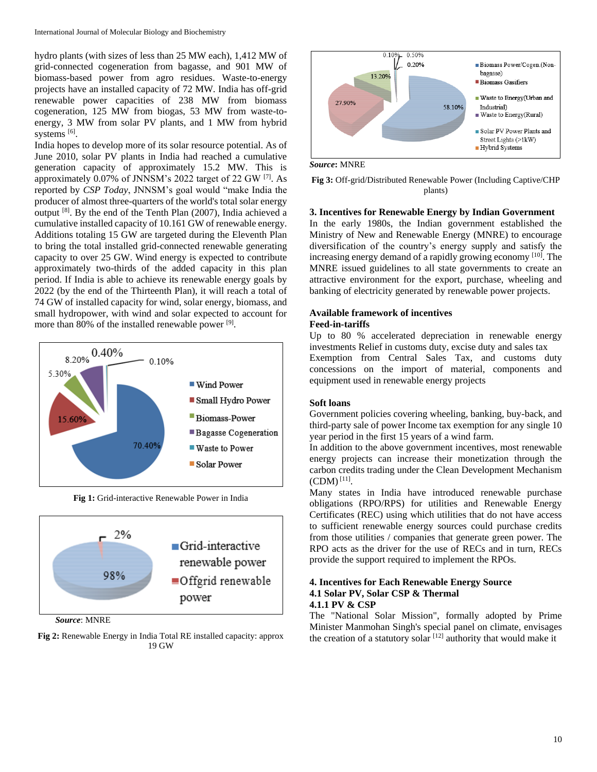hydro plants (with sizes of less than 25 MW each), 1,412 MW of grid-connected cogeneration from bagasse, and 901 MW of biomass-based power from agro residues. Waste-to-energy projects have an installed capacity of 72 MW. India has off-grid renewable power capacities of 238 MW from biomass cogeneration, 125 MW from biogas, 53 MW from waste-toenergy, 3 MW from solar PV plants, and 1 MW from hybrid systems [6].

India hopes to develop more of its solar resource potential. As of June 2010, solar PV plants in India had reached a cumulative generation capacity of approximately 15.2 MW. This is approximately 0.07% of JNNSM's 2022 target of 22 GW <a>[7]</a>. As reported by *CSP Today*, JNNSM's goal would "make India the producer of almost three-quarters of the world's total solar energy output <sup>[8]</sup>. By the end of the Tenth Plan (2007), India achieved a cumulative installed capacity of 10.161 GW of renewable energy. Additions totaling 15 GW are targeted during the Eleventh Plan to bring the total installed grid-connected renewable generating capacity to over 25 GW. Wind energy is expected to contribute approximately two-thirds of the added capacity in this plan period. If India is able to achieve its renewable energy goals by 2022 (by the end of the Thirteenth Plan), it will reach a total of 74 GW of installed capacity for wind, solar energy, biomass, and small hydropower, with wind and solar expected to account for more than 80% of the installed renewable power [9].



**Fig 1:** Grid-interactive Renewable Power in India



*Source*: MNRE

**Fig 2:** Renewable Energy in India Total RE installed capacity: approx 19 GW



*Source***:** MNRE

**Fig 3:** Off-grid/Distributed Renewable Power (Including Captive/CHP plants)

#### **3. Incentives for Renewable Energy by Indian Government**

In the early 1980s, the Indian government established the Ministry of New and Renewable Energy (MNRE) to encourage diversification of the country's energy supply and satisfy the increasing energy demand of a rapidly growing economy [10]. The MNRE issued guidelines to all state governments to create an attractive environment for the export, purchase, wheeling and banking of electricity generated by renewable power projects.

#### **Available framework of incentives Feed-in-tariffs**

Up to 80 % accelerated depreciation in renewable energy investments Relief in customs duty, excise duty and sales tax

Exemption from Central Sales Tax, and customs duty concessions on the import of material, components and equipment used in renewable energy projects

#### **Soft loans**

Government policies covering wheeling, banking, buy-back, and third-party sale of power Income tax exemption for any single 10 year period in the first 15 years of a wind farm.

In addition to the above government incentives, most renewable energy projects can increase their monetization through the carbon credits trading under the Clean Development Mechanism  $(CDM)^{[11]}$ .

Many states in India have introduced renewable purchase obligations (RPO/RPS) for utilities and Renewable Energy Certificates (REC) using which utilities that do not have access to sufficient renewable energy sources could purchase credits from those utilities / companies that generate green power. The RPO acts as the driver for the use of RECs and in turn, RECs provide the support required to implement the RPOs.

#### **4. Incentives for Each Renewable Energy Source 4.1 Solar PV, Solar CSP & Thermal 4.1.1 PV & CSP**

The "National Solar Mission", formally adopted by Prime Minister Manmohan Singh's special panel on climate, envisages the creation of a statutory solar  $[12]$  authority that would make it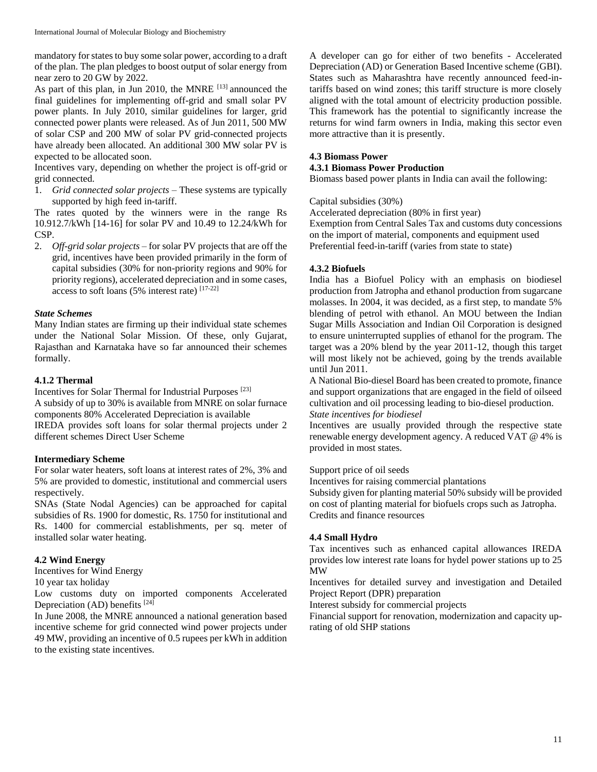mandatory for states to buy some solar power, according to a draft of the plan. The plan pledges to boost output of solar energy from near zero to 20 GW by 2022.

As part of this plan, in Jun 2010, the MNRE [13] announced the final guidelines for implementing off-grid and small solar PV power plants. In July 2010, similar guidelines for larger, grid connected power plants were released. As of Jun 2011, 500 MW of solar CSP and 200 MW of solar PV grid-connected projects have already been allocated. An additional 300 MW solar PV is expected to be allocated soon.

Incentives vary, depending on whether the project is off-grid or grid connected.

1. *Grid connected solar projects* – These systems are typically supported by high feed in-tariff.

The rates quoted by the winners were in the range Rs 10.912.7/kWh [14-16] for solar PV and 10.49 to 12.24/kWh for CSP.

2. *Off-grid solar projects* – for solar PV projects that are off the grid, incentives have been provided primarily in the form of capital subsidies (30% for non-priority regions and 90% for priority regions), accelerated depreciation and in some cases, access to soft loans (5% interest rate) [17-22]

#### *State Schemes*

Many Indian states are firming up their individual state schemes under the National Solar Mission. Of these, only Gujarat, Rajasthan and Karnataka have so far announced their schemes formally.

#### **4.1.2 Thermal**

Incentives for Solar Thermal for Industrial Purposes [23]

A subsidy of up to 30% is available from MNRE on solar furnace components 80% Accelerated Depreciation is available

IREDA provides soft loans for solar thermal projects under 2 different schemes Direct User Scheme

#### **Intermediary Scheme**

For solar water heaters, soft loans at interest rates of 2%, 3% and 5% are provided to domestic, institutional and commercial users respectively.

SNAs (State Nodal Agencies) can be approached for capital subsidies of Rs. 1900 for domestic, Rs. 1750 for institutional and Rs. 1400 for commercial establishments, per sq. meter of installed solar water heating.

#### **4.2 Wind Energy**

Incentives for Wind Energy

10 year tax holiday

Low customs duty on imported components Accelerated Depreciation (AD) benefits  $[24]$ 

In June 2008, the MNRE announced a national generation based incentive scheme for grid connected wind power projects under 49 MW, providing an incentive of 0.5 rupees per kWh in addition to the existing state incentives.

A developer can go for either of two benefits - Accelerated Depreciation (AD) or Generation Based Incentive scheme (GBI). States such as Maharashtra have recently announced feed-intariffs based on wind zones; this tariff structure is more closely aligned with the total amount of electricity production possible. This framework has the potential to significantly increase the returns for wind farm owners in India, making this sector even more attractive than it is presently.

#### **4.3 Biomass Power**

### **4.3.1 Biomass Power Production**

Biomass based power plants in India can avail the following:

#### Capital subsidies (30%)

Accelerated depreciation (80% in first year)

Exemption from Central Sales Tax and customs duty concessions on the import of material, components and equipment used Preferential feed-in-tariff (varies from state to state)

#### **4.3.2 Biofuels**

India has a Biofuel Policy with an emphasis on biodiesel production from Jatropha and ethanol production from sugarcane molasses. In 2004, it was decided, as a first step, to mandate 5% blending of petrol with ethanol. An MOU between the Indian Sugar Mills Association and Indian Oil Corporation is designed to ensure uninterrupted supplies of ethanol for the program. The target was a 20% blend by the year 2011-12, though this target will most likely not be achieved, going by the trends available until Jun 2011.

A National Bio-diesel Board has been created to promote, finance and support organizations that are engaged in the field of oilseed cultivation and oil processing leading to bio-diesel production. *State incentives for biodiesel*

Incentives are usually provided through the respective state renewable energy development agency. A reduced VAT @ 4% is provided in most states.

#### Support price of oil seeds

Incentives for raising commercial plantations

Subsidy given for planting material 50% subsidy will be provided on cost of planting material for biofuels crops such as Jatropha. Credits and finance resources

#### **4.4 Small Hydro**

Tax incentives such as enhanced capital allowances IREDA provides low interest rate loans for hydel power stations up to 25 MW

Incentives for detailed survey and investigation and Detailed Project Report (DPR) preparation

Interest subsidy for commercial projects

Financial support for renovation, modernization and capacity uprating of old SHP stations